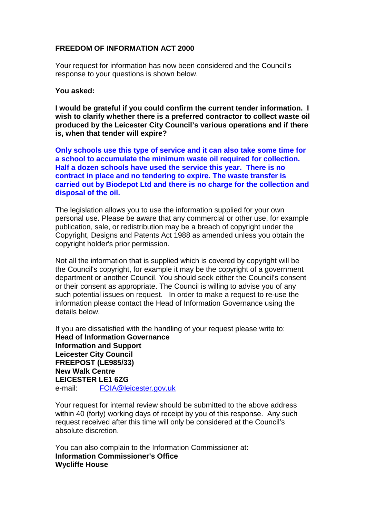## **FREEDOM OF INFORMATION ACT 2000**

Your request for information has now been considered and the Council's response to your questions is shown below.

## **You asked:**

**I would be grateful if you could confirm the current tender information. I wish to clarify whether there is a preferred contractor to collect waste oil produced by the Leicester City Council's various operations and if there is, when that tender will expire?**

**Only schools use this type of service and it can also take some time for a school to accumulate the minimum waste oil required for collection. Half a dozen schools have used the service this year. There is no contract in place and no tendering to expire. The waste transfer is carried out by Biodepot Ltd and there is no charge for the collection and disposal of the oil.**

The legislation allows you to use the information supplied for your own personal use. Please be aware that any commercial or other use, for example publication, sale, or redistribution may be a breach of copyright under the Copyright, Designs and Patents Act 1988 as amended unless you obtain the copyright holder's prior permission.

Not all the information that is supplied which is covered by copyright will be the Council's copyright, for example it may be the copyright of a government department or another Council. You should seek either the Council's consent or their consent as appropriate. The Council is willing to advise you of any such potential issues on request. In order to make a request to re-use the information please contact the Head of Information Governance using the details below.

If you are dissatisfied with the handling of your request please write to: **Head of Information Governance Information and Support Leicester City Council FREEPOST (LE985/33) New Walk Centre LEICESTER LE1 6ZG**<br> **e-mail:** FOIA@le FOIA@leicester.gov.uk

Your request for internal review should be submitted to the above address within 40 (forty) working days of receipt by you of this response. Any such request received after this time will only be considered at the Council's absolute discretion.

You can also complain to the Information Commissioner at: **Information Commissioner's Office Wycliffe House**